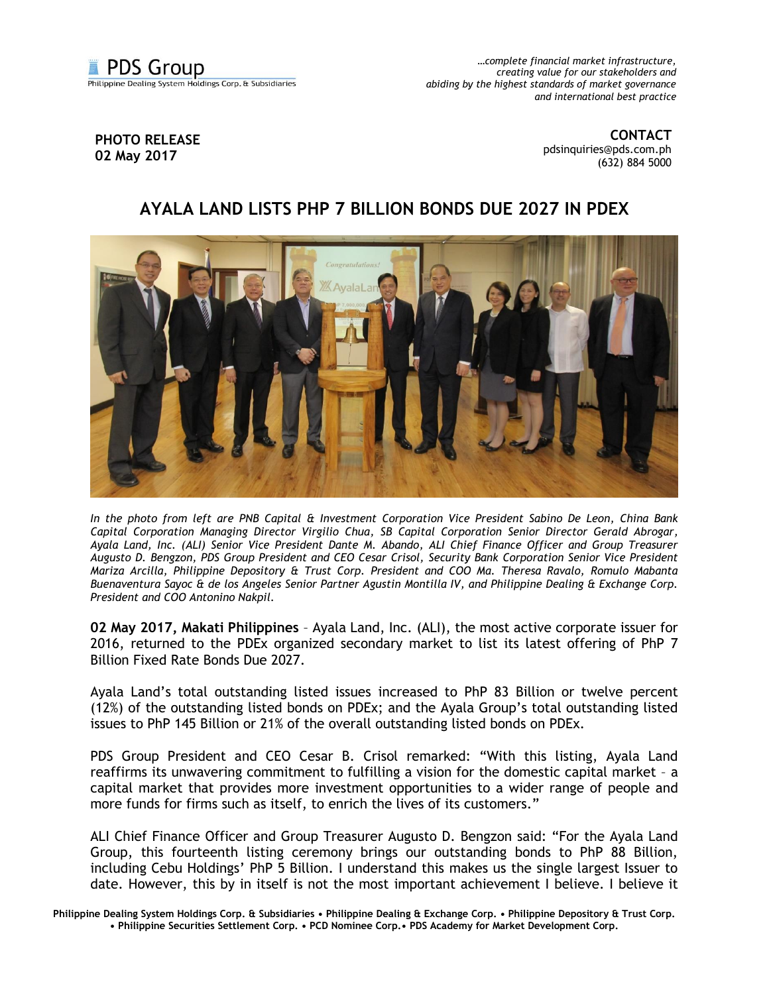

*…complete financial market infrastructure, creating value for our stakeholders and abiding by the highest standards of market governance and international best practice*

## **PHOTO RELEASE 02 May 2017**

**CONTACT** [pdsinquiries@pds.com.ph](mailto:pdsinquiries@pds.com.ph) (632) 884 5000

## **AYALA LAND LISTS PHP 7 BILLION BONDS DUE 2027 IN PDEX**



*In the photo from left are PNB Capital & Investment Corporation Vice President Sabino De Leon, China Bank Capital Corporation Managing Director Virgilio Chua, SB Capital Corporation Senior Director Gerald Abrogar, Ayala Land, Inc. (ALI) Senior Vice President Dante M. Abando, ALI Chief Finance Officer and Group Treasurer Augusto D. Bengzon, PDS Group President and CEO Cesar Crisol, Security Bank Corporation Senior Vice President Mariza Arcilla, Philippine Depository & Trust Corp. President and COO Ma. Theresa Ravalo, Romulo Mabanta Buenaventura Sayoc & de los Angeles Senior Partner Agustin Montilla IV, and Philippine Dealing & Exchange Corp. President and COO Antonino Nakpil.* 

**02 May 2017, Makati Philippines** – Ayala Land, Inc. (ALI), the most active corporate issuer for 2016, returned to the PDEx organized secondary market to list its latest offering of PhP 7 Billion Fixed Rate Bonds Due 2027.

Ayala Land's total outstanding listed issues increased to PhP 83 Billion or twelve percent (12%) of the outstanding listed bonds on PDEx; and the Ayala Group's total outstanding listed issues to PhP 145 Billion or 21% of the overall outstanding listed bonds on PDEx.

PDS Group President and CEO Cesar B. Crisol remarked: "With this listing, Ayala Land reaffirms its unwavering commitment to fulfilling a vision for the domestic capital market – a capital market that provides more investment opportunities to a wider range of people and more funds for firms such as itself, to enrich the lives of its customers."

ALI Chief Finance Officer and Group Treasurer Augusto D. Bengzon said: "For the Ayala Land Group, this fourteenth listing ceremony brings our outstanding bonds to PhP 88 Billion, including Cebu Holdings' PhP 5 Billion. I understand this makes us the single largest Issuer to date. However, this by in itself is not the most important achievement I believe. I believe it

**Philippine Dealing System Holdings Corp. & Subsidiaries • Philippine Dealing & Exchange Corp. • Philippine Depository & Trust Corp. • Philippine Securities Settlement Corp. • PCD Nominee Corp.• PDS Academy for Market Development Corp.**